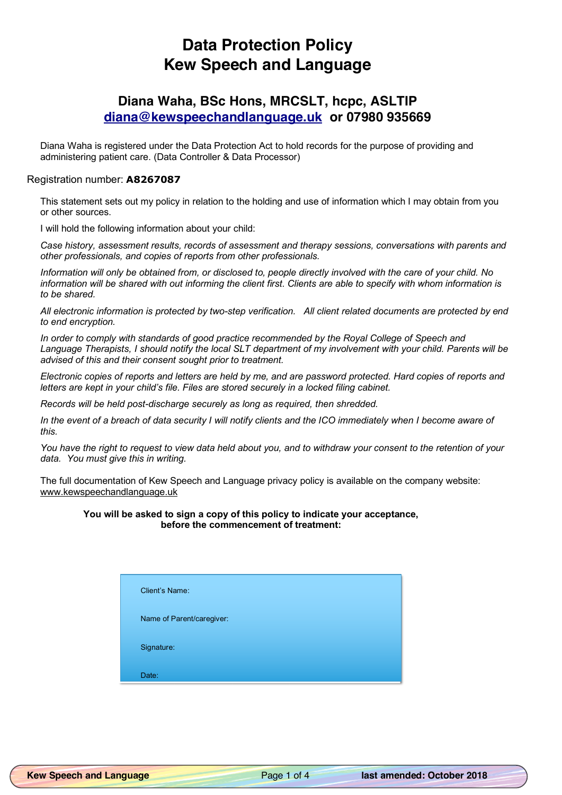# **Data Protection Policy Kew Speech and Language**

## **Diana Waha, BSc Hons, MRCSLT, hcpc, ASLTIP diana@kewspeechandlanguage.uk or 07980 935669**

Diana Waha is registered under the Data Protection Act to hold records for the purpose of providing and administering patient care. (Data Controller & Data Processor)

### Registration number: **A8267087**

This statement sets out my policy in relation to the holding and use of information which I may obtain from you or other sources.

I will hold the following information about your child:

*Case history, assessment results, records of assessment and therapy sessions, conversations with parents and other professionals, and copies of reports from other professionals.*

*Information will only be obtained from, or disclosed to, people directly involved with the care of your child. No information will be shared with out informing the client first. Clients are able to specify with whom information is to be shared.*

*All electronic information is protected by two-step verification. All client related documents are protected by end to end encryption.*

*In order to comply with standards of good practice recommended by the Royal College of Speech and Language Therapists, I should notify the local SLT department of my involvement with your child. Parents will be advised of this and their consent sought prior to treatment.*

*Electronic copies of reports and letters are held by me, and are password protected. Hard copies of reports and letters are kept in your child's file. Files are stored securely in a locked filing cabinet.*

*Records will be held post-discharge securely as long as required, then shredded.*

*In the event of a breach of data security I will notify clients and the ICO immediately when I become aware of this.*

*You have the right to request to view data held about you, and to withdraw your consent to the retention of your data. You must give this in writing.*

The full documentation of Kew Speech and Language privacy policy is available on the company website: www.kewspeechandlanguage.uk

#### **You will be asked to sign a copy of this policy to indicate your acceptance, before the commencement of treatment:**

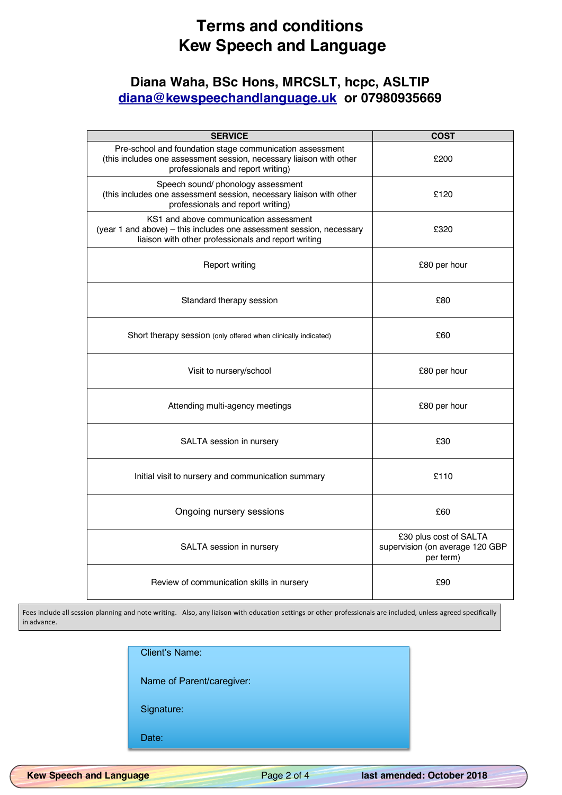# **Terms and conditions Kew Speech and Language**

# **Diana Waha, BSc Hons, MRCSLT, hcpc, ASLTIP diana@kewspeechandlanguage.uk or 07980935669**

| <b>SERVICE</b>                                                                                                                                                                | <b>COST</b>                                                            |  |
|-------------------------------------------------------------------------------------------------------------------------------------------------------------------------------|------------------------------------------------------------------------|--|
| Pre-school and foundation stage communication assessment<br>(this includes one assessment session, necessary liaison with other<br>professionals and report writing)          | £200                                                                   |  |
| Speech sound/ phonology assessment<br>(this includes one assessment session, necessary liaison with other<br>professionals and report writing)                                | £120                                                                   |  |
| KS1 and above communication assessment<br>(year 1 and above) – this includes one assessment session, necessary<br>£320<br>liaison with other professionals and report writing |                                                                        |  |
| <b>Report writing</b>                                                                                                                                                         | £80 per hour                                                           |  |
| Standard therapy session                                                                                                                                                      | £80                                                                    |  |
| Short therapy session (only offered when clinically indicated)                                                                                                                | £60                                                                    |  |
| Visit to nursery/school                                                                                                                                                       | £80 per hour                                                           |  |
| Attending multi-agency meetings                                                                                                                                               | £80 per hour                                                           |  |
| SALTA session in nursery                                                                                                                                                      | £30                                                                    |  |
| £110<br>Initial visit to nursery and communication summary                                                                                                                    |                                                                        |  |
| Ongoing nursery sessions                                                                                                                                                      | £60                                                                    |  |
| SALTA session in nursery                                                                                                                                                      | £30 plus cost of SALTA<br>supervision (on average 120 GBP<br>per term) |  |
| Review of communication skills in nursery                                                                                                                                     | £90                                                                    |  |

Fees include all session planning and note writing. Also, any liaison with education settings or other professionals are included, unless agreed specifically in advance.

| <b>Client's Name:</b> |                           |  |  |
|-----------------------|---------------------------|--|--|
|                       | Name of Parent/caregiver: |  |  |
| Signature:            |                           |  |  |
| Date:                 |                           |  |  |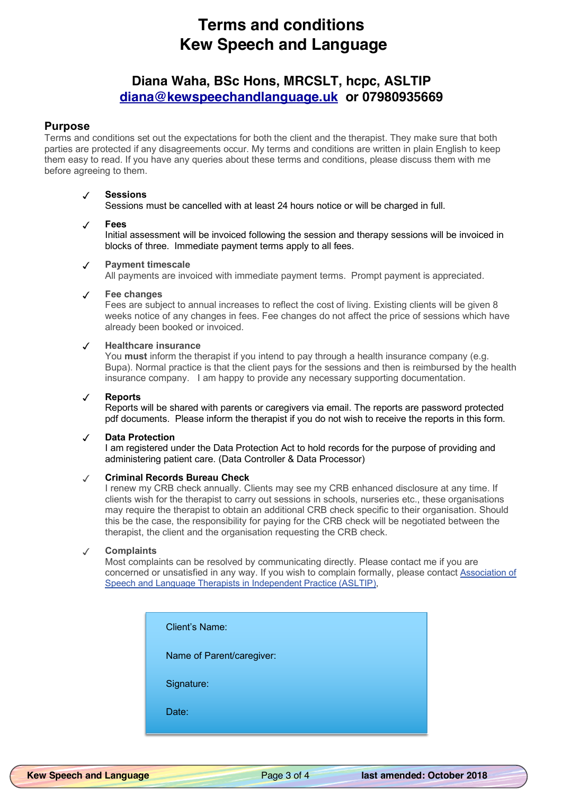# **Terms and conditions Kew Speech and Language**

## **Diana Waha, BSc Hons, MRCSLT, hcpc, ASLTIP diana@kewspeechandlanguage.uk or 07980935669**

## **Purpose**

Terms and conditions set out the expectations for both the client and the therapist. They make sure that both parties are protected if any disagreements occur. My terms and conditions are written in plain English to keep them easy to read. If you have any queries about these terms and conditions, please discuss them with me before agreeing to them.

### ✓ **Sessions**

Sessions must be cancelled with at least 24 hours notice or will be charged in full.

### ✓ **Fees**

Initial assessment will be invoiced following the session and therapy sessions will be invoiced in blocks of three. Immediate payment terms apply to all fees.

### All payments are invoiced with immediate payment terms. Prompt payment is appreciated.

✓ **Payment timescale**

#### ✓ **Fee changes**

Fees are subject to annual increases to reflect the cost of living. Existing clients will be given 8 weeks notice of any changes in fees. Fee changes do not affect the price of sessions which have already been booked or invoiced.

### ✓ **Healthcare insurance**

You **must** inform the therapist if you intend to pay through a health insurance company (e.g. Bupa). Normal practice is that the client pays for the sessions and then is reimbursed by the health insurance company. I am happy to provide any necessary supporting documentation.

#### ✓ **Reports**

Reports will be shared with parents or caregivers via email. The reports are password protected pdf documents. Please inform the therapist if you do not wish to receive the reports in this form.

#### ✓ **Data Protection**

I am registered under the Data Protection Act to hold records for the purpose of providing and administering patient care. (Data Controller & Data Processor)

### ✓ **Criminal Records Bureau Check**

I renew my CRB check annually. Clients may see my CRB enhanced disclosure at any time. If clients wish for the therapist to carry out sessions in schools, nurseries etc., these organisations may require the therapist to obtain an additional CRB check specific to their organisation. Should this be the case, the responsibility for paying for the CRB check will be negotiated between the therapist, the client and the organisation requesting the CRB check.

#### ✓ **Complaints**

Most complaints can be resolved by communicating directly. Please contact me if you are concerned or unsatisfied in any way. If you wish to complain formally, please contact Association of Speech and Language Therapists in Independent Practice (ASLTIP),

| <b>Client's Name:</b>     |  |
|---------------------------|--|
| Name of Parent/caregiver: |  |
| Signature:                |  |
| Date:                     |  |
|                           |  |

**Kew Speech and Language** Page 3 of 4 **last amended: October 2018**